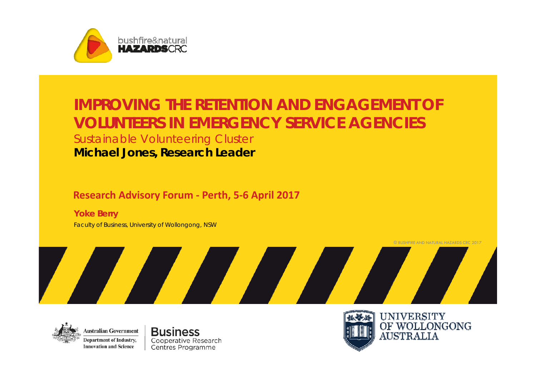

### **IMPROVING THE RETENTION AND ENGAGEMENT OF VOLUNTEERS IN EMERGENCY SERVICE AGENCIES**

Sustainable Volunteering Cluster **Michael Jones, Research Leader**

#### **Research Advisory Forum ‐ Perth, 5‐6 April 2017**

**Yoke Berry** Faculty of Business, University of Wollongong, NSW



**Business** Cooperative Research Centres Programme



**UNIVERSITY** OF WOLLONGONG<br>AUSTRALIA

© BUSHFIRE AND NATURAL HAZARDS CRC 2017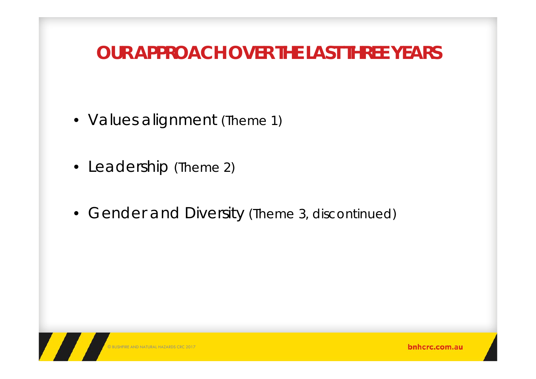## **OUR APPROACH OVER THE LAST THREE YEARS**

- Values alignment (Theme 1)
- Leadership (Theme 2)
- Gender and Diversity (Theme 3, discontinued)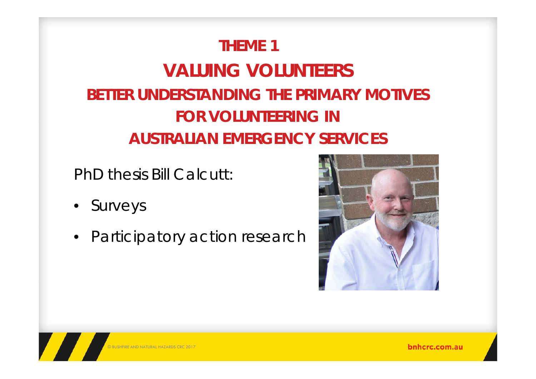# **VALUING VOLUNTEERSBETTER UNDERSTANDING THE PRIMARY MOTIVES FOR VOLUNTEERING IN AUSTRALIAN EMERGENCY SERVICESTHEME 1**

PhD thesis Bill Calcutt:

- Surveys
- Participatory action research

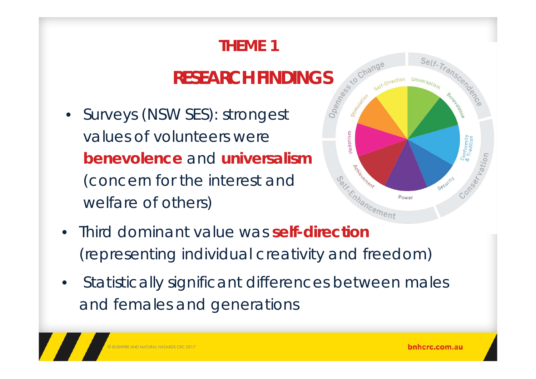# **RESEARCH FINDINGSTHEME 1**

• Surveys (NSW SES): strongest values of volunteers were **benevolence** and **universalism**(concern for the interest and welfare of others)

© BUSHFIRE AND NATURAL HAZARDS CRC 2017



- Third dominant value was **self-direction** (representing individual creativity and freedom)
- • Statistically significant differences between males and females and generations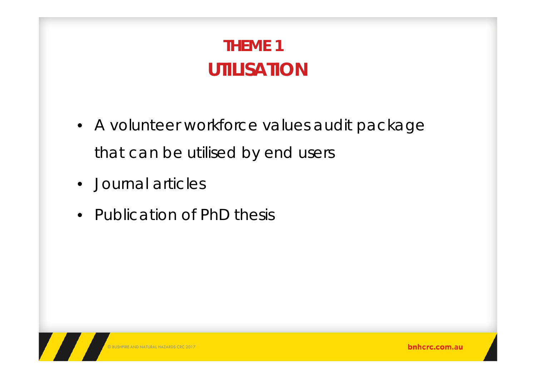# **UTILISATIONTHEME 1**

- A volunteer workforce values audit package that can be utilised by end users
- Journal articles
- Publication of PhD thesis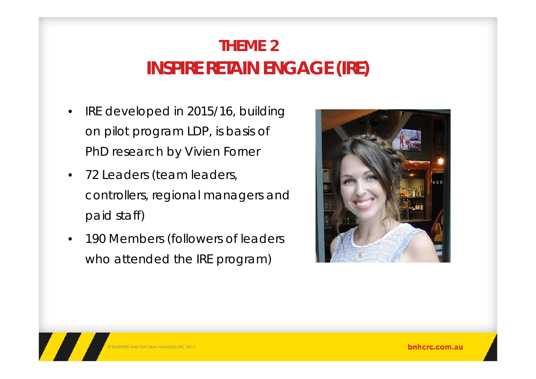## **INSPIRE RETAIN ENGAGE (IRE) THEME 2**

- • IRE developed in 2015/16, building on pilot program LDP, is basis of PhD research by Vivien Forner
- $\bullet$  72 Leaders (team leaders, controllers, regional managers and paid staff)
- • 190 Members (followers of leaders who attended the IRE program)

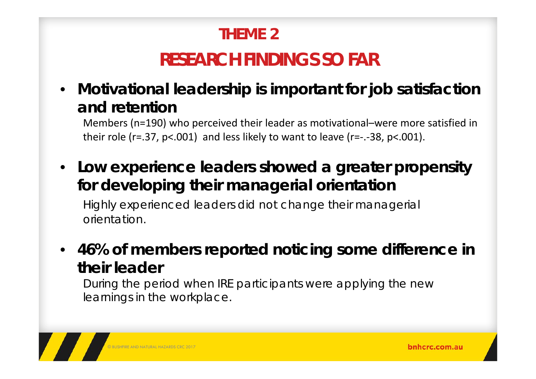

## **RESEARCH FINDINGS SO FAR**

• **Motivational leadership is important for job satisfaction and retention**

Members (n=190) who perceived their leader as motivational–were more satisfied in their role (r=.37, p<.001) and less likely to want to leave (r=‐.‐38, p<.001).

• **Low experience leaders showed a greater propensity for developing their managerial orientation**

Highly experienced leaders did not change their managerial orientation.

• **46% of members reported noticing some difference in their leader** 

During the period when IRE participants were applying the new learnings in the workplace.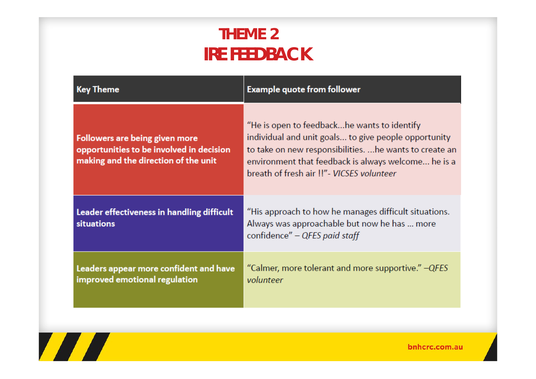### **THEME 2 IRE FEEDBACK**

| <b>Key Theme</b>                                                                                                          | <b>Example quote from follower</b>                                                                                                                                                                                                                                  |
|---------------------------------------------------------------------------------------------------------------------------|---------------------------------------------------------------------------------------------------------------------------------------------------------------------------------------------------------------------------------------------------------------------|
| <b>Followers are being given more</b><br>opportunities to be involved in decision<br>making and the direction of the unit | "He is open to feedbackhe wants to identify<br>individual and unit goals to give people opportunity<br>to take on new responsibilities.  he wants to create an<br>environment that feedback is always welcome he is a<br>breath of fresh air !!" - VICSES volunteer |
| Leader effectiveness in handling difficult<br><b>situations</b>                                                           | "His approach to how he manages difficult situations.<br>Always was approachable but now he has  more<br>confidence" – QFES paid staff                                                                                                                              |
| Leaders appear more confident and have<br>improved emotional regulation                                                   | "Calmer, more tolerant and more supportive." –QFES<br>volunteer                                                                                                                                                                                                     |

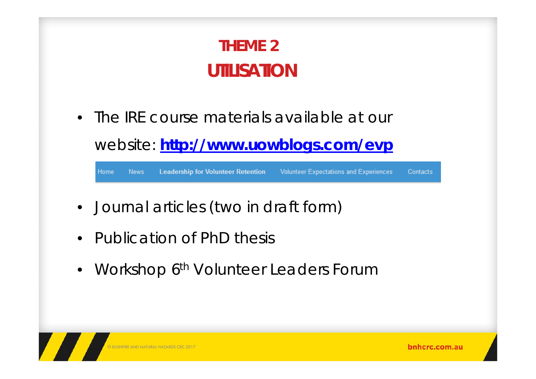# **UTILISATIONTHEME 2**

• The IRE course materials available at our website: **http://www.uowblogs.com/evp**

| Home | – News I | Leadership for Volunteer Retention Volunteer Expectations and Experiences | Contacts |
|------|----------|---------------------------------------------------------------------------|----------|
|      |          |                                                                           |          |

- Journal articles (two in draft form)
- Publication of PhD thesis
- Workshop 6<sup>th</sup> Volunteer Leaders Forum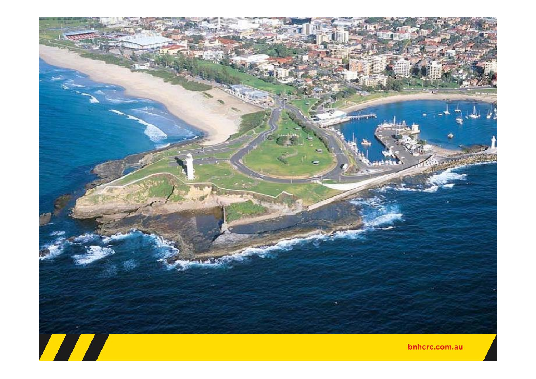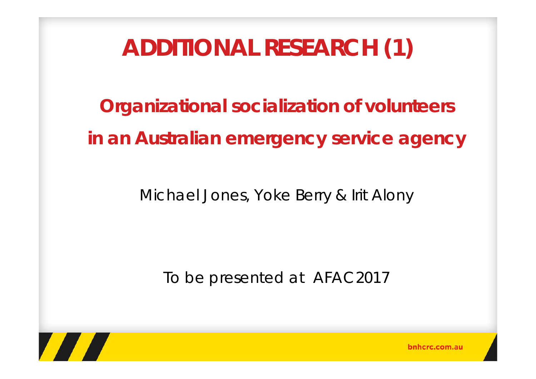# **ADDITIONAL RESEARCH (1)**

**Organizational socialization of volunteers in an Australian emergency service agency**

Michael Jones, Yoke Berry & Irit Alony

To be presented at AFAC2017

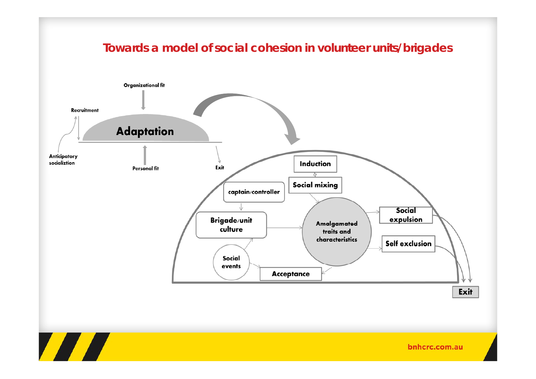#### **Towards a model of social cohesion in volunteer units/brigades**

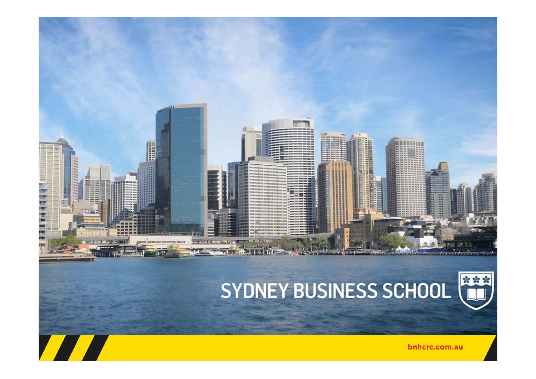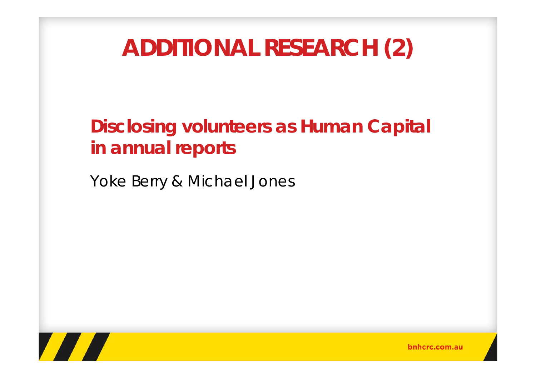# **ADDITIONAL RESEARCH (2)**

**Disclosing volunteers as Human Capital in annual reports**

Yoke Berry & Michael Jones

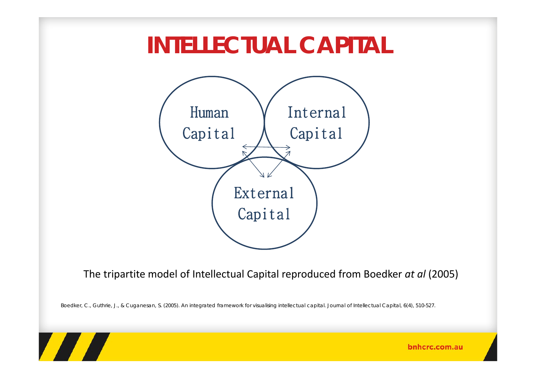# **INTELLECTUAL CAPITAL**



The tripartite model of Intellectual Capital reproduced from Boedker *at al* (2005)

*Boedker, C., Guthrie, J., & Cuganesan, S. (2005). An integrated framework for visualising intellectual capital. Journal of Intellectual Capital, 6(4), 510-527.*

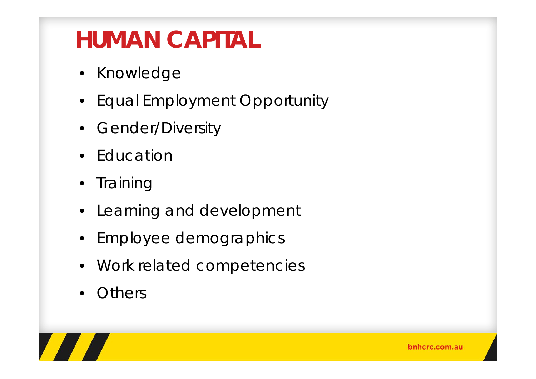# **HUMAN CAPITAL**

- Knowledge
- Equal Employment Opportunity
- Gender/Diversity
- Educatior
- $\bullet$ **Training**
- Learning and development
- Employee demographics
- Work related competencies
- •**Others**

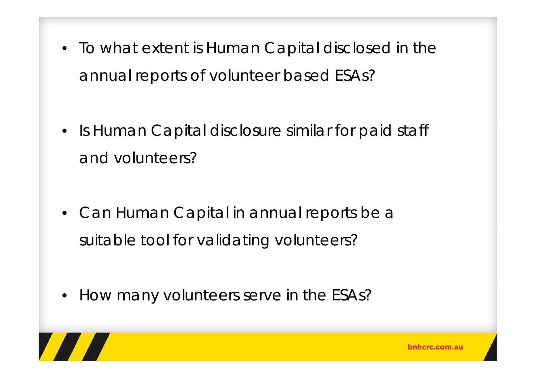• To what extent is Human Capital disclosed in the annual reports of volunteer based ESAs?

- Is Human Capital disclosure similar for paid staff and volunteers?
- Can Human Capital in annual reports be a suitable tool for validating volunteers?
- How many volunteers serve in the ESAs?

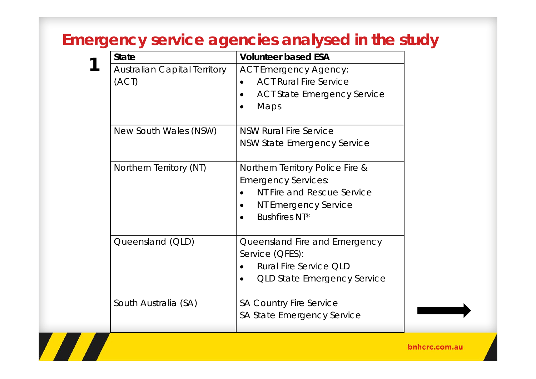### **Emergency service agencies analysed in the study**

| <b>State</b>                                 | <b>Volunteer based ESA</b>                                                                                                                         |
|----------------------------------------------|----------------------------------------------------------------------------------------------------------------------------------------------------|
| <b>Australian Capital Territory</b><br>(ACT) | <b>ACT Emergency Agency:</b><br><b>ACT Rural Fire Service</b><br>$\bullet$<br><b>ACT State Emergency Service</b><br>$\bullet$<br>Maps<br>$\bullet$ |
| New South Wales (NSW)                        | <b>NSW Rural Fire Service</b><br><b>NSW State Emergency Service</b>                                                                                |
| Northern Territory (NT)                      | Northern Territory Police Fire &<br><b>Emergency Services:</b><br>NT Fire and Rescue Service<br>NT Emergency Service<br>Bushfires NT*<br>$\bullet$ |
| Queensland (QLD)                             | Queensland Fire and Emergency<br>Service (QFES):<br><b>Rural Fire Service QLD</b><br>$\bullet$<br><b>QLD State Emergency Service</b><br>$\bullet$  |
| South Australia (SA)                         | <b>SA Country Fire Service</b><br>SA State Emergency Service                                                                                       |
|                                              |                                                                                                                                                    |

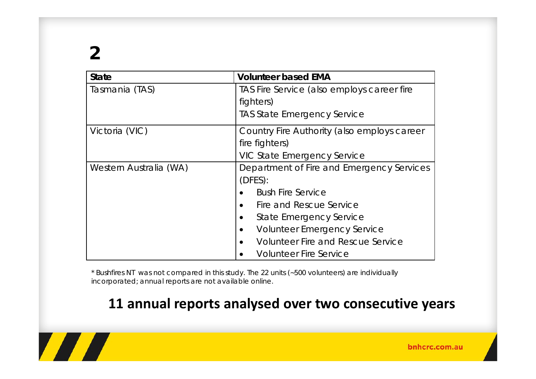### **2**

| <b>State</b>           | <b>Volunteer based EMA</b>                            |  |
|------------------------|-------------------------------------------------------|--|
| Tasmania (TAS)         | TAS Fire Service (also employs career fire            |  |
|                        | fighters)                                             |  |
|                        | <b>TAS State Emergency Service</b>                    |  |
| Victoria (VIC)         | Country Fire Authority (also employs career           |  |
|                        | fire fighters)                                        |  |
|                        | <b>VIC State Emergency Service</b>                    |  |
| Western Australia (WA) | Department of Fire and Emergency Services<br>(DFES):  |  |
|                        |                                                       |  |
|                        | <b>Bush Fire Service</b><br>$\bullet$                 |  |
|                        | Fire and Rescue Service<br>$\bullet$                  |  |
|                        | <b>State Emergency Service</b><br>$\bullet$           |  |
|                        | <b>Volunteer Emergency Service</b>                    |  |
|                        | <b>Volunteer Fire and Rescue Service</b><br>$\bullet$ |  |
|                        | <b>Volunteer Fire Service</b>                         |  |

\* Bushfires NT was not compared in this study. The 22 units (~500 volunteers) are individually incorporated; annual reports are not available online.

#### **11 annual reports analysed over two consecutive years**

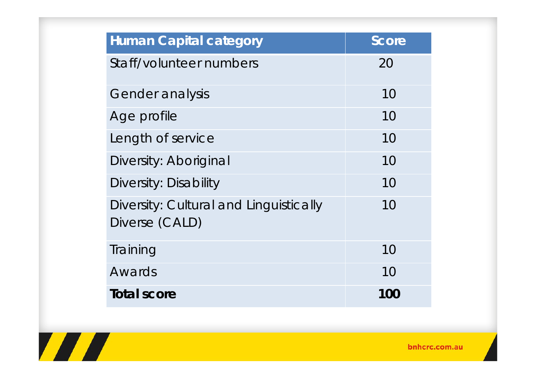| <b>Human Capital category</b>                            | <b>Score</b> |
|----------------------------------------------------------|--------------|
| Staff/volunteer numbers                                  | 20           |
| Gender analysis                                          | 10           |
| Age profile                                              | 10           |
| Length of service                                        | 10           |
| Diversity: Aboriginal                                    | 10           |
| <b>Diversity: Disability</b>                             | 10           |
| Diversity: Cultural and Linguistically<br>Diverse (CALD) | 10           |
| Training                                                 | 10           |
| Awards                                                   | 10           |
| <b>Total score</b>                                       | 100          |

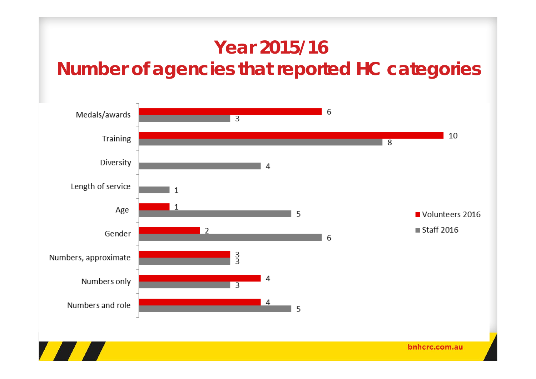# **Year 2015/16 Number of agencies that reported HC categories**

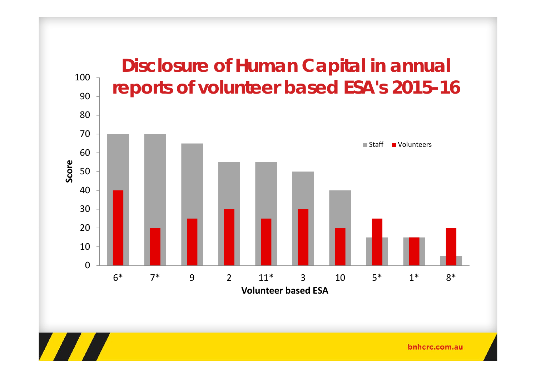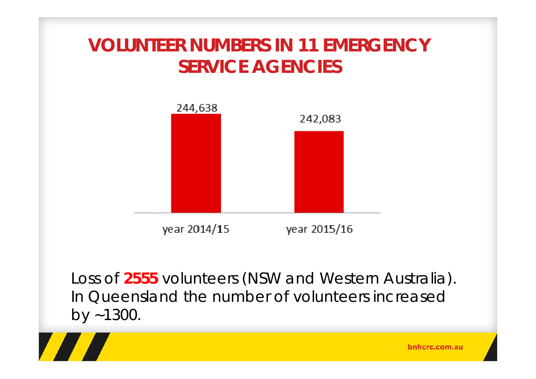## **VOLUNTEER NUMBERS IN 11 EMERGENCY SERVICE AGENCIES**



Loss of **2555** volunteers (NSW and Western Australia). In Queensland the number of volunteers increased by  $~1300$ .

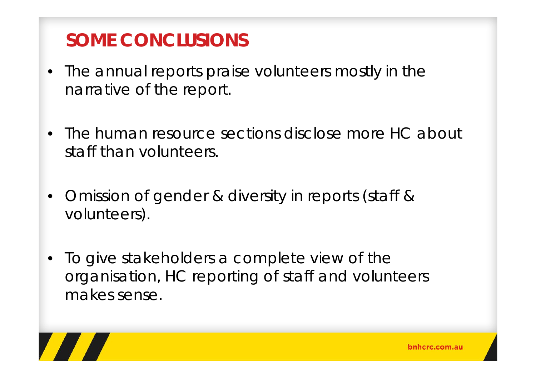# **SOME CONCLUSIONS**

- The annual reports praise volunteers mostly in the narrative of the report.
- The human resource sections disclose more HC about staff than volunteers.
- Omission of gender & diversity in reports (staff & volunteers).
- To give stakeholders a complete view of the organisation, HC reporting of staff and volunteers makes sense.

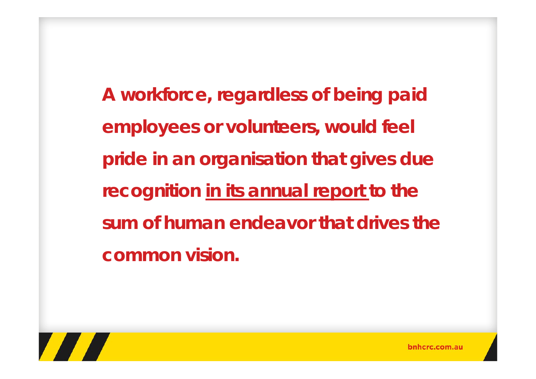**A workforce, regardless of being paid employees or volunteers, would feel pride in an organisation that gives due recognition in its annual report to the sum of human endeavor that drives the common vision.**